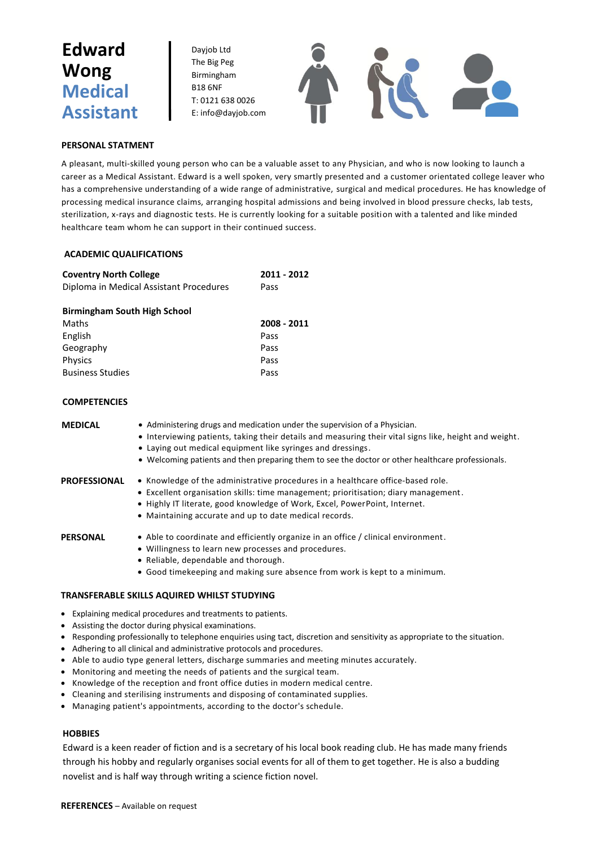# **Edward Wong Medical Assistant**

Dayjob Ltd The Big Peg Birmingham B18 6NF T: 0121 638 0026 E: info@dayjob.com



### **PERSONAL STATMENT**

A pleasant, multi-skilled young person who can be a valuable asset to any Physician, and who is now looking to launch a career as a Medical Assistant. Edward is a well spoken, very smartly presented and a customer orientated college leaver who has a comprehensive understanding of a wide range of administrative, surgical and medical procedures. He has knowledge of processing medical insurance claims, arranging hospital admissions and being involved in blood pressure checks, lab tests, sterilization, x-rays and diagnostic tests. He is currently looking for a suitable position with a talented and like minded healthcare team whom he can support in their continued success.

### **ACADEMIC QUALIFICATIONS**

| <b>Coventry North College</b>           | 2011 - 2012 |
|-----------------------------------------|-------------|
| Diploma in Medical Assistant Procedures | Pass        |

### **Birmingham South High School**

| 2008 - 2011 |
|-------------|
| Pass        |
| Pass        |
| Pass        |
| Pass        |
|             |

## **COMPETENCIES**

| <b>MEDICAL</b> | • Administering drugs and medication under the supervision of a Physician.<br>• Interviewing patients, taking their details and measuring their vital signs like, height and weight.<br>• Laying out medical equipment like syringes and dressings.<br>• Welcoming patients and then preparing them to see the doctor or other healthcare professionals. |
|----------------|----------------------------------------------------------------------------------------------------------------------------------------------------------------------------------------------------------------------------------------------------------------------------------------------------------------------------------------------------------|
| PROFESSIONAL   | • Knowledge of the administrative procedures in a healthcare office-based role.<br>• Excellent organisation skills: time management; prioritisation; diary management.<br>• Highly IT literate, good knowledge of Work, Excel, PowerPoint, Internet.<br>• Maintaining accurate and up to date medical records.                                           |
| PERSONAL       | • Able to coordinate and efficiently organize in an office / clinical environment.<br>• Willingness to learn new processes and procedures.<br>• Reliable, dependable and thorough.<br>• Good timekeeping and making sure absence from work is kept to a minimum.                                                                                         |

### **TRANSFERABLE SKILLS AQUIRED WHILST STUDYING**

- Explaining medical procedures and treatments to patients.
- Assisting the doctor during physical examinations.
- Responding professionally to telephone enquiries using tact, discretion and sensitivity as appropriate to the situation.
- Adhering to all clinical and administrative protocols and procedures.
- Able to audio type general letters, discharge summaries and meeting minutes accurately.
- Monitoring and meeting the needs of patients and the surgical team.
- Knowledge of the reception and front office duties in modern medical centre.
- Cleaning and sterilising instruments and disposing of contaminated supplies.
- Managing patient's appointments, according to the doctor's schedule.

### **HOBBIES**

Edward is a keen reader of fiction and is a secretary of his local book reading club. He has made many friends through his hobby and regularly organises social events for all of them to get together. He is also a budding novelist and is half way through writing a science fiction novel.